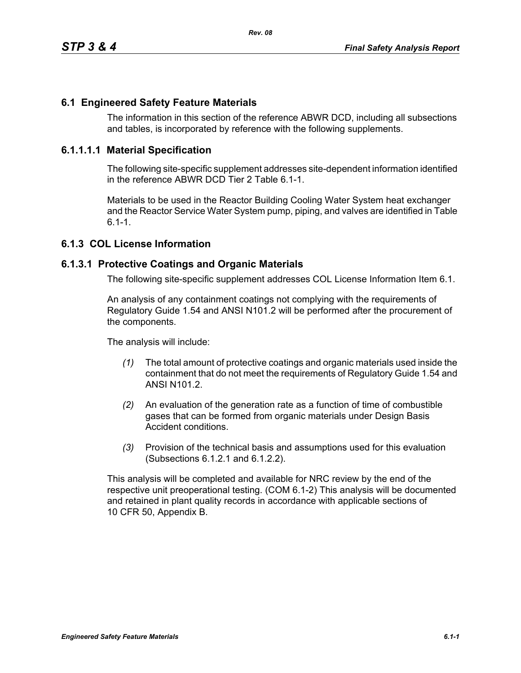## **6.1 Engineered Safety Feature Materials**

The information in this section of the reference ABWR DCD, including all subsections and tables, is incorporated by reference with the following supplements.

### **6.1.1.1.1 Material Specification**

The following site-specific supplement addresses site-dependent information identified in the reference ABWR DCD Tier 2 Table 6.1-1.

Materials to be used in the Reactor Building Cooling Water System heat exchanger and the Reactor Service Water System pump, piping, and valves are identified in Table  $6.1 - 1.$ 

# **6.1.3 COL License Information**

#### **6.1.3.1 Protective Coatings and Organic Materials**

The following site-specific supplement addresses COL License Information Item 6.1.

An analysis of any containment coatings not complying with the requirements of Regulatory Guide 1.54 and ANSI N101.2 will be performed after the procurement of the components.

The analysis will include:

- *(1)* The total amount of protective coatings and organic materials used inside the containment that do not meet the requirements of Regulatory Guide 1.54 and ANSI N101.2.
- *(2)* An evaluation of the generation rate as a function of time of combustible gases that can be formed from organic materials under Design Basis Accident conditions.
- *(3)* Provision of the technical basis and assumptions used for this evaluation (Subsections 6.1.2.1 and 6.1.2.2).

This analysis will be completed and available for NRC review by the end of the respective unit preoperational testing. (COM 6.1-2) This analysis will be documented and retained in plant quality records in accordance with applicable sections of 10 CFR 50, Appendix B.